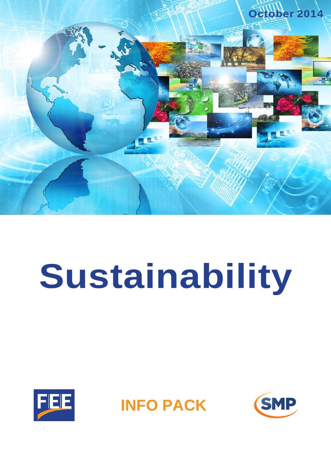

# **Sustainability**





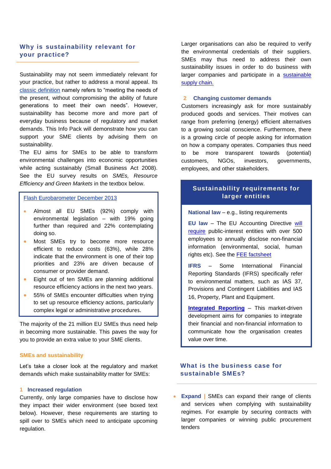# **Why is sustainability relevant for your practice?**

Sustainability may not seem immediately relevant for your practice, but rather to address a moral appeal. Its [classic definition](http://www.un-documents.net/ocf-02.htm) namely refers to "meeting the needs of the present, without compromising the ability of future generations to meet their own needs". However, sustainability has become more and more part of everyday business because of regulatory and market demands. This Info Pack will demonstrate how you can support your SME clients by advising them on sustainability.

The EU aims for SMEs to be able to transform environmental challenges into economic opportunities while acting sustainably (Small Business Act 2008). See the EU survey results on *SMEs, Resource Efficiency and Green Markets* in the textbox below.

# [Flash Eurobarometer December 2013](http://ec.europa.eu/public_opinion/flash/fl_381_en.pdf)

- Almost all EU SMEs (92%) comply with environmental legislation – with 19% going further than required and 22% contemplating doing so.
- **Most SMEs try to become more resource** efficient to reduce costs (63%), while 28% indicate that the environment is one of their top priorities and 23% are driven because of consumer or provider demand.
- **Eight out of ten SMEs are planning additional** resource efficiency actions in the next two years.
- 55% of SMEs encounter difficulties when trying to set up resource efficiency actions, particularly complex legal or administrative procedures.

The majority of the 21 million EU SMEs thus need help in becoming more sustainable. This paves the way for you to provide an extra value to your SME clients.

### **SMEs and sustainability**

Let's take a closer look at the regulatory and market demands which make sustainability matter for SMEs:

### **1 Increased regulation**

Currently, only large companies have to disclose how they impact their wider environment (see boxed text below). However, these requirements are starting to spill over to SMEs which need to anticipate upcoming regulation.

Larger organisations can also be required to verify the environmental credentials of their suppliers. SMEs may thus need to address their own sustainability issues in order to do business with larger companies and participate in a [sustainable](http://supply-chain.unglobalcompact.org/)  [supply chain.](http://supply-chain.unglobalcompact.org/)

### **2 Changing customer demands**

Customers increasingly ask for more sustainably produced goods and services. Their motives can range from preferring (energy) efficient alternatives to a growing social conscience. Furthermore, there is a growing circle of people asking for information on how a company operates. Companies thus need to be more transparent towards (potential) customers, NGOs, investors, governments, employees, and other stakeholders.

# **Sustainability requirements for larger entities**

**National law** – e.g., listing requirements

**EU law** – The EU Accounting Directive [will](http://ec.europa.eu/internal_market/accounting/non-financial_reporting/index_en.htm)  [require](http://ec.europa.eu/internal_market/accounting/non-financial_reporting/index_en.htm) public-interest entities with over 500 employees to annually disclose non-financial information (environmental, social, human rights etc). See the [FEE factsheet](http://www.fee.be/images/Factsheet_EU_Directive_NonFinancial_Information_1406.pdf)

**IFRS** – Some International Financial Reporting Standards (IFRS) specifically refer to environmental matters, such as IAS 37, Provisions and Contingent Liabilities and IAS 16, Property, Plant and Equipment.

**[Integrated Reporting](http://www.theiirc.org/)** – This market-driven development aims for companies to integrate their financial and non-financial information to communicate how the organisation creates value over time.

# **What is the business case for sustainable SMEs?**

 **Expand |** SMEs can expand their range of clients and services when complying with sustainability regimes. For example by securing contracts with larger companies or winning public procurement tenders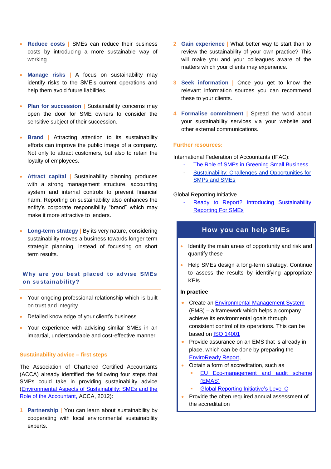- **Reduce costs |** SMEs can reduce their business costs by introducing a more sustainable way of working.
- **Manage risks |** A focus on sustainability may identify risks to the SME's current operations and help them avoid future liabilities.
- **Plan for succession | Sustainability concerns may** open the door for SME owners to consider the sensitive subject of their succession.
- **Brand** | Attracting attention to its sustainability efforts can improve the public image of a company. Not only to attract customers, but also to retain the loyalty of employees.
- **Attract capital |** Sustainability planning produces with a strong management structure, accounting system and internal controls to prevent financial harm. Reporting on sustainability also enhances the entity's corporate responsibility "brand" which may make it more attractive to lenders.
- **Long-term strategy |** By its very nature, considering sustainability moves a business towards longer term strategic planning, instead of focussing on short term results.

# **Why are you best placed to advise SMEs on sustainability?**

- Your ongoing professional relationship which is built on trust and integrity
- Detailed knowledge of your client's business
- Your experience with advising similar SMEs in an impartial, understandable and cost-effective manner

### **Sustainability advice – first steps**

The Association of Chartered Certified Accountants (ACCA) already identified the following four steps that SMPs could take in providing sustainability advice [\(Environmental Aspects of Sustainability: SMEs and the](http://www.accaglobal.com/content/dam/acca/global/PDF-technical/small-business/rr-128-001.pdf)  [Role of the Accountant,](http://www.accaglobal.com/content/dam/acca/global/PDF-technical/small-business/rr-128-001.pdf) ACCA, 2012):

**1 Partnership |** You can learn about sustainability by cooperating with local environmental sustainability experts.

- **2 Gain experience |** What better way to start than to review the sustainability of your own practice? This will make you and your colleagues aware of the matters which your clients may experience.
- **3 Seek information** | Once you get to know the relevant information sources you can recommend these to your clients.
- **4 Formalise commitment |** Spread the word about your sustainability services via your website and other external communications.

### **Further resources:**

International Federation of Accountants (IFAC):

- The Role of SMPs [in Greening Small Business](http://www.ifac.org/publications-resources/role-smps-greening-small-business)
- Sustainability: Challenges and Opportunities for [SMPs and SMEs](http://www.ifac.org/news-events/2013-04/sustainability-challenges-and-opportunities-smps-and-smes#.UkmCqBDYhDU.twitter)

### Global Reporting Initiative

Ready to Report? Introducing Sustainability [Reporting For SMEs](https://www.globalreporting.org/resourcelibrary/Ready-to-Report-SME-booklet-online.pdf)

# **How you can help SMEs**

- Identify the main areas of opportunity and risk and quantify these
- Help SMEs design a long-term strategy. Continue to assess the results by identifying appropriate KPIs

# **In practice**

- **Create an Environmental [Management System](http://www.smetoolkit.org/smetoolkit/en/content/en/279/Creating-an-Environmental-Management-System-EMS-)** (EMS) – a framework which helps a company achieve its environmental goals through consistent control of its operations. This can be based on [ISO 14001](http://www.iso.org/iso/home/store/publication_item.htm?pid=PUB100329)
- **•** Provide assurance on an EMS that is already in place, which can be done by preparing the [EnviroReady Report](http://www.14000registry.com/),
- Obtain a form of accreditation, such as
	- [EU Eco-management and audit scheme](http://ec.europa.eu/environment/emas/index_en.htm)  [\(EMAS\)](http://ec.europa.eu/environment/emas/index_en.htm)
	- [Global Reporting Initiative's Level](http://www.globalreporting.org/reporting/G3andG3-1/application-level-information/Pages/default.aspx) C
- Provide the often required annual assessment of the accreditation